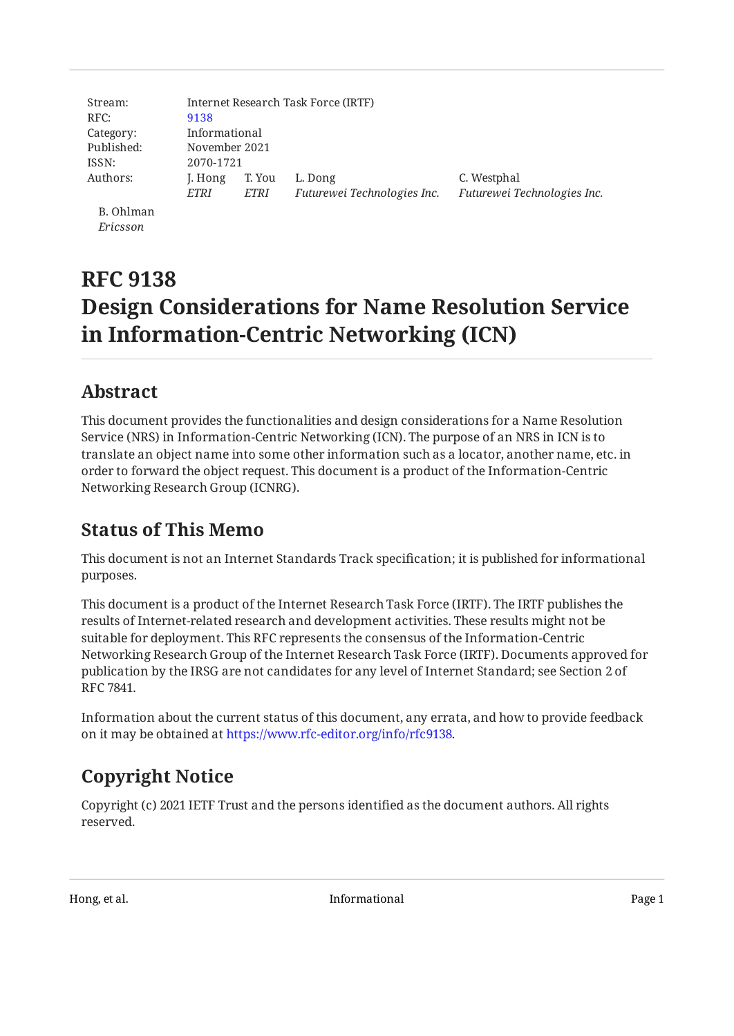| Stream:    | Internet Research Task Force (IRTF) |             |                             |                        |  |
|------------|-------------------------------------|-------------|-----------------------------|------------------------|--|
| RFC:       | 9138                                |             |                             |                        |  |
| Category:  | Informational                       |             |                             |                        |  |
| Published: | November 2021                       |             |                             |                        |  |
| ISSN:      | 2070-1721                           |             |                             |                        |  |
| Authors:   | J. Hong                             | T. You      | L. Dong                     | C. Westphal            |  |
|            | ETRI                                | <i>ETRI</i> | Futurewei Technologies Inc. | Futurewei Technologies |  |
| $D$ Ohlman |                                     |             |                             |                        |  |

B. Ohlman *Ericsson*

# **RFC 9138 Design Considerations for Name Resolution Service in Information-Centric Networking (ICN)**

# <span id="page-0-0"></span>**[Abstract](#page-0-0)**

This document provides the functionalities and design considerations for a Name Resolution Service (NRS) in Information-Centric Networking (ICN). The purpose of an NRS in ICN is to translate an object name into some other information such as a locator, another name, etc. in order to forward the object request. This document is a product of the Information-Centric Networking Research Group (ICNRG).

# <span id="page-0-1"></span>**[Status of This Memo](#page-0-1)**

This document is not an Internet Standards Track specification; it is published for informational purposes.

This document is a product of the Internet Research Task Force (IRTF). The IRTF publishes the results of Internet-related research and development activities. These results might not be suitable for deployment. This RFC represents the consensus of the Information-Centric Networking Research Group of the Internet Research Task Force (IRTF). Documents approved for publication by the IRSG are not candidates for any level of Internet Standard; see Section 2 of RFC 7841.

Information about the current status of this document, any errata, and how to provide feedback on it may be obtained at [https://www.rfc-editor.org/info/rfc9138.](https://www.rfc-editor.org/info/rfc9138)

# <span id="page-0-2"></span>**[Copyright Notice](#page-0-2)**

Copyright (c) 2021 IETF Trust and the persons identified as the document authors. All rights reserved.

*Fuere*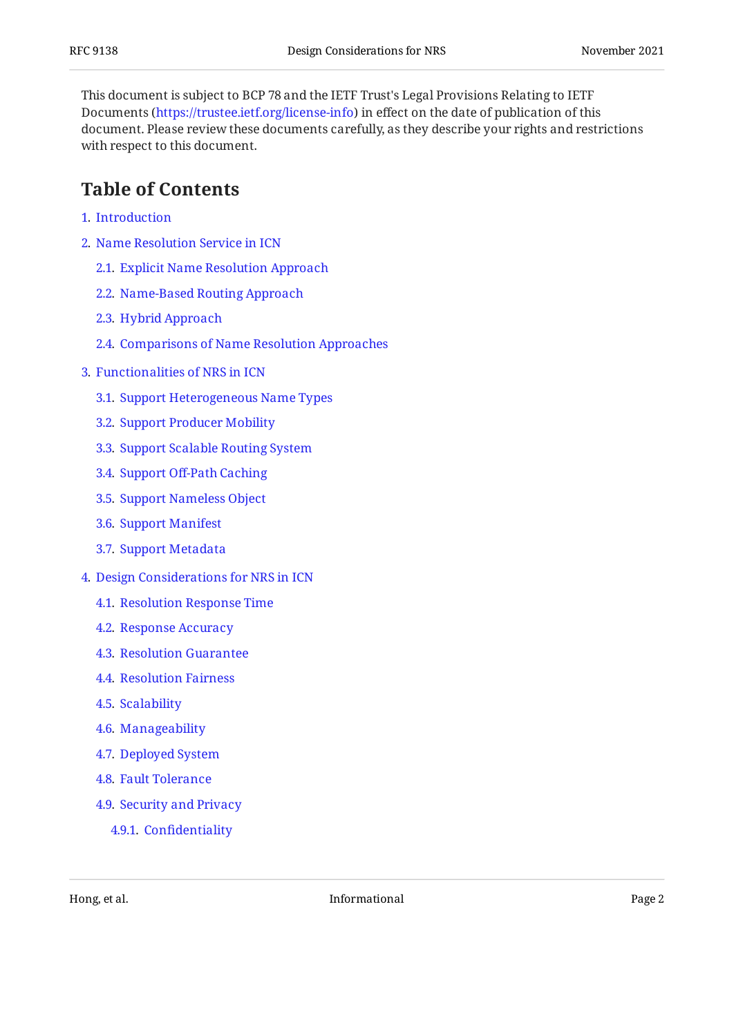This document is subject to BCP 78 and the IETF Trust's Legal Provisions Relating to IETF Documents (<https://trustee.ietf.org/license-info>) in effect on the date of publication of this document. Please review these documents carefully, as they describe your rights and restrictions with respect to this document.

## <span id="page-1-0"></span>**[Table of Contents](#page-1-0)**

- [1](#page-2-0). [Introduction](#page-2-0)
- [2](#page-3-0). [Name Resolution Service in ICN](#page-3-0)
	- [2.1.](#page-3-1) [Explicit Name Resolution Approach](#page-3-1)
	- [2.2.](#page-3-2) [Name-Based Routing Approach](#page-3-2)
	- [2.3.](#page-4-0) [Hybrid Approach](#page-4-0)
	- [2.4.](#page-4-1) [Comparisons of Name Resolution Approaches](#page-4-1)
- [3](#page-5-0). [Functionalities of NRS in ICN](#page-5-0)
	- [3.1.](#page-5-1) [Support Heterogeneous Name Types](#page-5-1)
	- [3.2.](#page-6-0) [Support Producer Mobility](#page-6-0)
	- [3.3.](#page-7-0) [Support Scalable Routing System](#page-7-0)
	- [3.4.](#page-7-1) Support Off[-Path Caching](#page-7-1)
	- [3.5.](#page-8-0) [Support Nameless Object](#page-8-0)
	- [3.6.](#page-8-1) [Support Manifest](#page-8-1)
	- [3.7.](#page-8-2) [Support Metadata](#page-8-2)
- [4](#page-9-0). [Design Considerations for NRS in ICN](#page-9-0)
	- [4.1.](#page-9-1) [Resolution Response Time](#page-9-1)
	- [4.2.](#page-9-2) [Response Accuracy](#page-9-2)
	- [4.3.](#page-10-0) [Resolution Guarantee](#page-10-0)
	- [4.4.](#page-10-1) [Resolution Fairness](#page-10-1)
	- [4.5.](#page-10-2) [Scalability](#page-10-2)
	- [4.6.](#page-11-0) [Manageability](#page-11-0)
	- [4.7.](#page-11-1) [Deployed System](#page-11-1)
	- [4.8.](#page-11-2) [Fault Tolerance](#page-11-2)
	- [4.9.](#page-11-3) [Security and Privacy](#page-11-3)
		- [4.9.1](#page-11-4). Confi[dentiality](#page-11-4)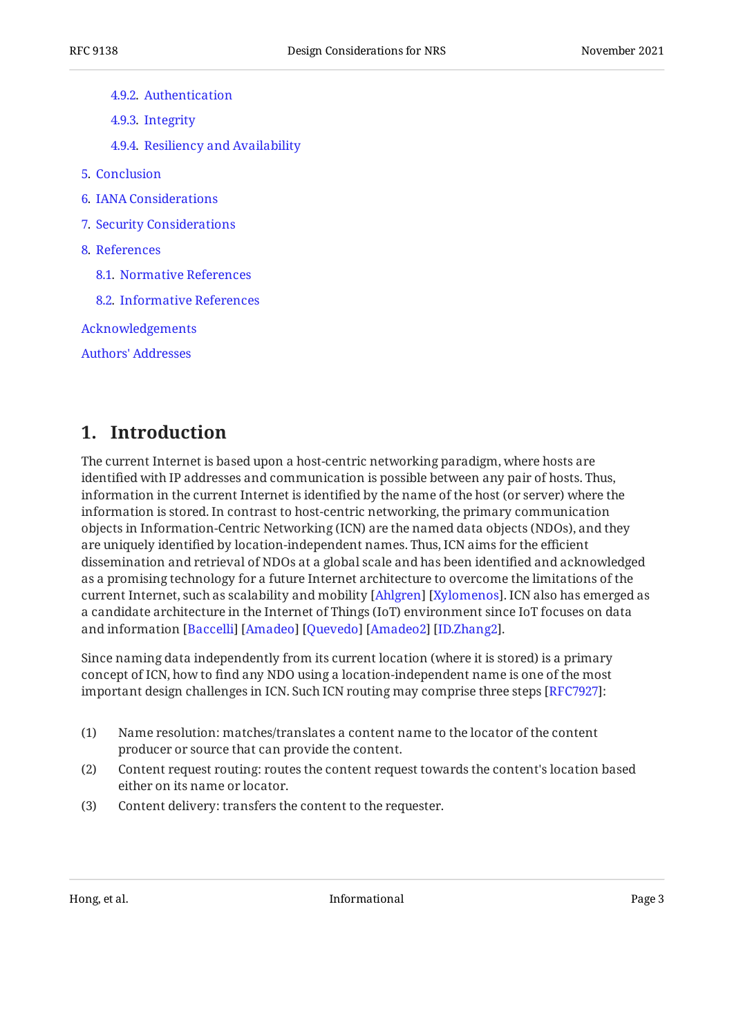- [4.9.2](#page-12-0). [Authentication](#page-12-0)
- [4.9.3](#page-12-1). [Integrity](#page-12-1)
- [4.9.4](#page-12-2). [Resiliency and Availability](#page-12-2)
- [5](#page-12-3). [Conclusion](#page-12-3)
- [6](#page-13-0). [IANA Considerations](#page-13-0)
- [7](#page-13-1). [Security Considerations](#page-13-1)
- [8](#page-13-2). [References](#page-13-2)
	- [8.1.](#page-13-3) [Normative References](#page-13-3)
	- [8.2.](#page-13-4) [Informative References](#page-13-4)

[Acknowledgements](#page-16-0)

[Authors' Addresses](#page-16-1)

## <span id="page-2-0"></span>**[1. Introduction](#page-2-0)**

The current Internet is based upon a host-centric networking paradigm, where hosts are identified with IP addresses and communication is possible between any pair of hosts. Thus, information in the current Internet is identified by the name of the host (or server) where the information is stored. In contrast to host-centric networking, the primary communication objects in Information-Centric Networking (ICN) are the named data objects (NDOs), and they are uniquely identified by location-independent names. Thus, ICN aims for the efficient dissemination and retrieval of NDOs at a global scale and has been identified and acknowledged as a promising technology for a future Internet architecture to overcome the limitations of the current Internet, such as scalability and mobility [Ahlgren] [Xylomenos]. ICN also has emerged as a candidate architecture in the Internet of Things (IoT) environment since IoT focuses on data and information [Baccelli] [Amadeo] [Quevedo] [Amadeo2] [ID.Zhang2].

Since naming data independently from its current location (where it is stored) is a primary concept of ICN, how to find any NDO using a location-independent name is one of the most important design challenges in ICN. Such ICN routing may comprise three steps [RFC7927]:

- (1) Name resolution: matches/translates a content name to the locator of the content producer or source that can provide the content.
- (2) Content request routing: routes the content request towards the content's location based either on its name or locator.
- (3) Content delivery: transfers the content to the requester.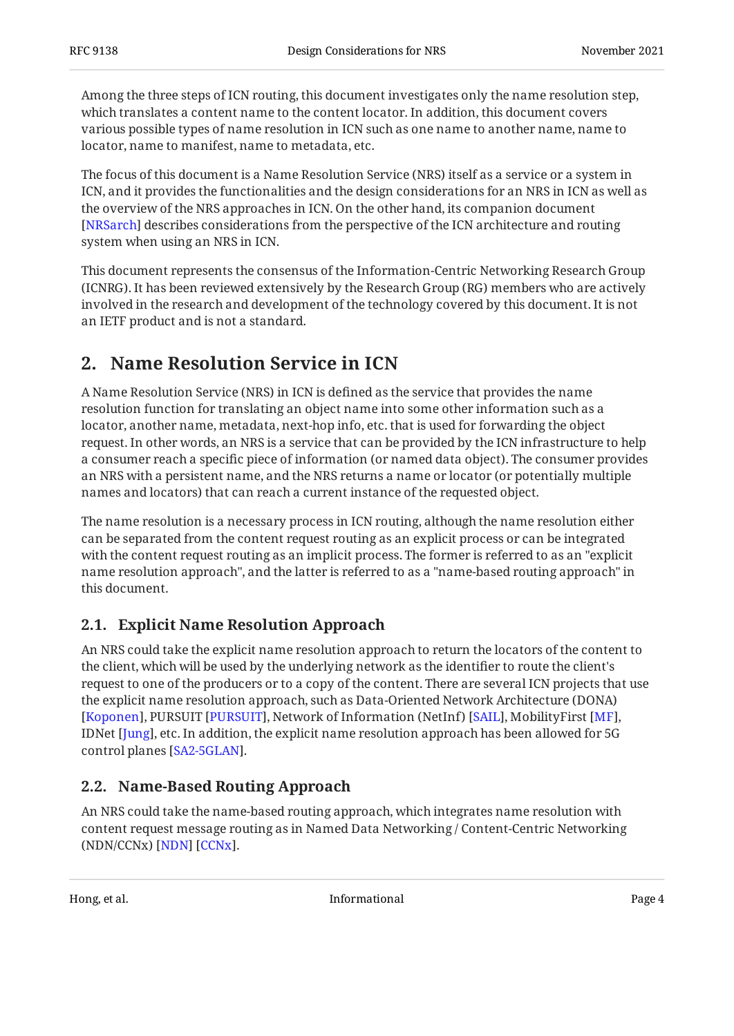Among the three steps of ICN routing, this document investigates only the name resolution step, which translates a content name to the content locator. In addition, this document covers various possible types of name resolution in ICN such as one name to another name, name to locator, name to manifest, name to metadata, etc.

The focus of this document is a Name Resolution Service (NRS) itself as a service or a system in ICN, and it provides the functionalities and the design considerations for an NRS in ICN as well as the overview of the NRS approaches in ICN. On the other hand, its companion document [[NRSarch\]](#page-15-2) describes considerations from the perspective of the ICN architecture and routing system when using an NRS in ICN.

This document represents the consensus of the Information-Centric Networking Research Group (ICNRG). It has been reviewed extensively by the Research Group (RG) members who are actively involved in the research and development of the technology covered by this document. It is not an IETF product and is not a standard.

# <span id="page-3-0"></span>**[2. Name Resolution Service in ICN](#page-3-0)**

A Name Resolution Service (NRS) in ICN is defined as the service that provides the name resolution function for translating an object name into some other information such as a locator, another name, metadata, next-hop info, etc. that is used for forwarding the object request. In other words, an NRS is a service that can be provided by the ICN infrastructure to help a consumer reach a specific piece of information (or named data object). The consumer provides an NRS with a persistent name, and the NRS returns a name or locator (or potentially multiple names and locators) that can reach a current instance of the requested object.

The name resolution is a necessary process in ICN routing, although the name resolution either can be separated from the content request routing as an explicit process or can be integrated with the content request routing as an implicit process. The former is referred to as an "explicit name resolution approach", and the latter is referred to as a "name-based routing approach" in this document.

### <span id="page-3-1"></span>**[2.1. Explicit Name Resolution Approach](#page-3-1)**

An NRS could take the explicit name resolution approach to return the locators of the content to the client, which will be used by the underlying network as the identifier to route the client's request to one of the producers or to a copy of the content. There are several ICN projects that use the explicit name resolution approach, such as Data-Oriented Network Architecture (DONA) [[Koponen\]](#page-14-1), PURSUIT [\[PURSUIT\]](#page-15-3), Network of Information (NetInf) [SAIL], MobilityFirst [MF], IDNet [J $\,\mathrm{ung}$ ], etc. In addition, the explicit name resolution approach has been allowed for 5G control planes [[SA2-5GLAN](#page-15-5)].

### <span id="page-3-2"></span>**[2.2. Name-Based Routing Approach](#page-3-2)**

An NRS could take the name-based routing approach, which integrates name resolution with content request message routing as in Named Data Networking / Content-Centric Networking (NDN/CCNx) [\[NDN](#page-14-4)] [[CCNx\]](#page-14-5).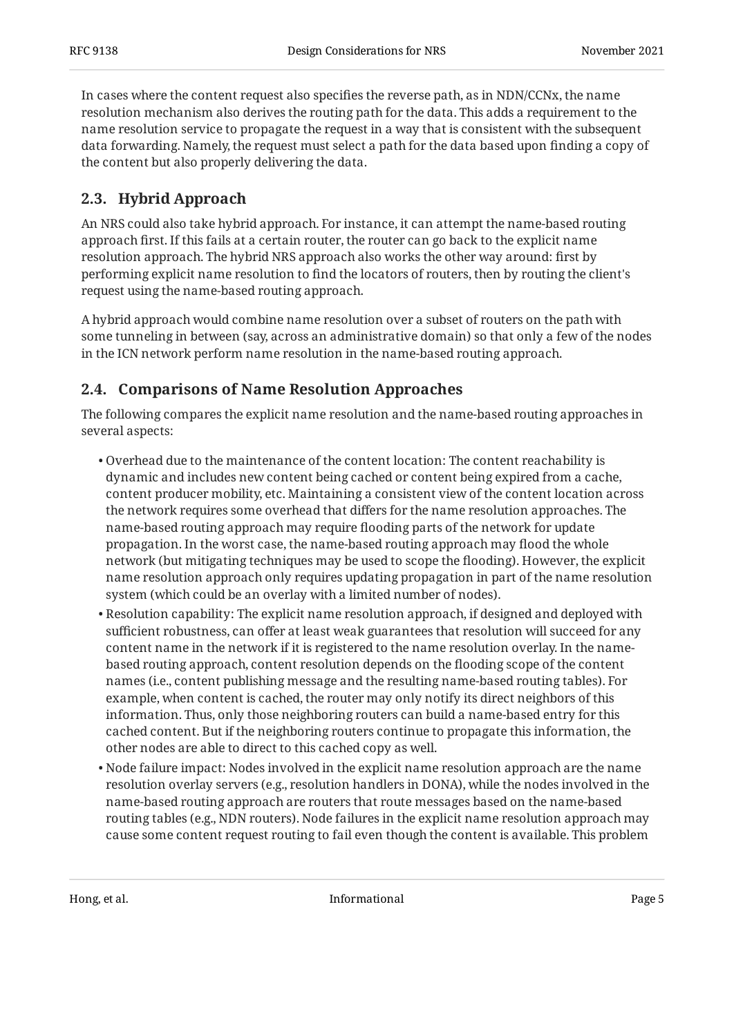In cases where the content request also specifies the reverse path, as in NDN/CCNx, the name resolution mechanism also derives the routing path for the data. This adds a requirement to the name resolution service to propagate the request in a way that is consistent with the subsequent data forwarding. Namely, the request must select a path for the data based upon finding a copy of the content but also properly delivering the data.

### <span id="page-4-0"></span>**[2.3. Hybrid Approach](#page-4-0)**

An NRS could also take hybrid approach. For instance, it can attempt the name-based routing approach first. If this fails at a certain router, the router can go back to the explicit name resolution approach. The hybrid NRS approach also works the other way around: first by performing explicit name resolution to find the locators of routers, then by routing the client's request using the name-based routing approach.

A hybrid approach would combine name resolution over a subset of routers on the path with some tunneling in between (say, across an administrative domain) so that only a few of the nodes in the ICN network perform name resolution in the name-based routing approach.

#### <span id="page-4-1"></span>**[2.4. Comparisons of Name Resolution Approaches](#page-4-1)**

The following compares the explicit name resolution and the name-based routing approaches in several aspects:

- $\bullet$  Overhead due to the maintenance of the content location: The content reachability is dynamic and includes new content being cached or content being expired from a cache, content producer mobility, etc. Maintaining a consistent view of the content location across the network requires some overhead that differs for the name resolution approaches. The name-based routing approach may require flooding parts of the network for update propagation. In the worst case, the name-based routing approach may flood the whole network (but mitigating techniques may be used to scope the flooding). However, the explicit name resolution approach only requires updating propagation in part of the name resolution system (which could be an overlay with a limited number of nodes).
- $\bullet$  Resolution capability: The explicit name resolution approach, if designed and deployed with sufficient robustness, can offer at least weak guarantees that resolution will succeed for any content name in the network if it is registered to the name resolution overlay. In the namebased routing approach, content resolution depends on the flooding scope of the content names (i.e., content publishing message and the resulting name-based routing tables). For example, when content is cached, the router may only notify its direct neighbors of this information. Thus, only those neighboring routers can build a name-based entry for this cached content. But if the neighboring routers continue to propagate this information, the other nodes are able to direct to this cached copy as well.
- $\bullet$  Node failure impact: Nodes involved in the explicit name resolution approach are the name resolution overlay servers (e.g., resolution handlers in DONA), while the nodes involved in the name-based routing approach are routers that route messages based on the name-based routing tables (e.g., NDN routers). Node failures in the explicit name resolution approach may cause some content request routing to fail even though the content is available. This problem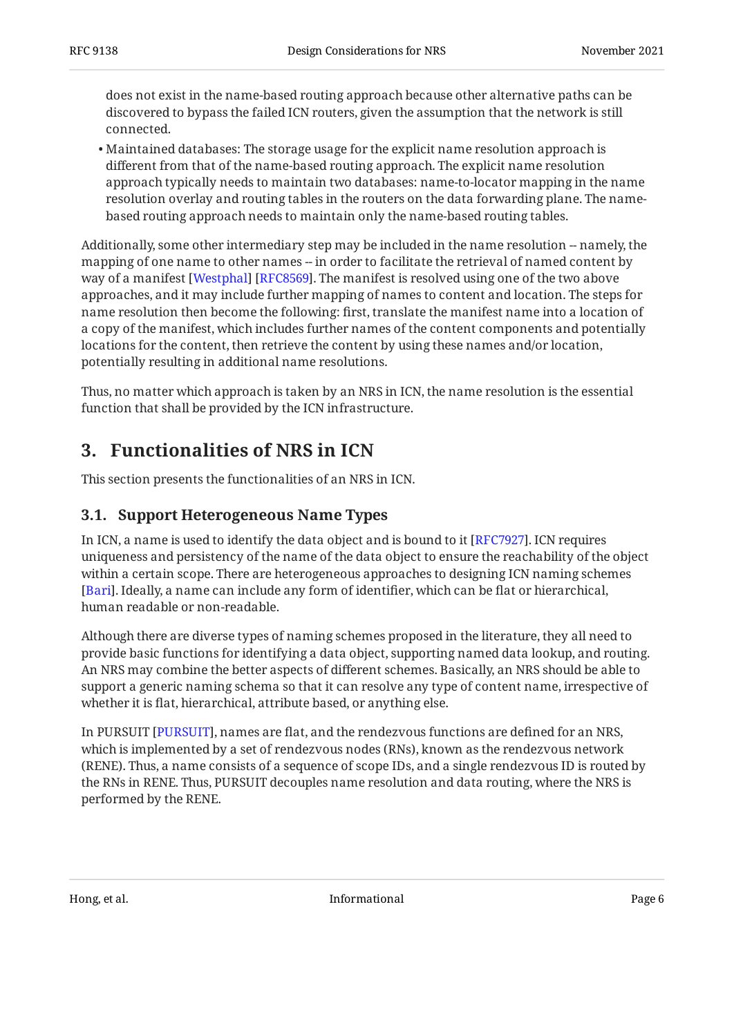does not exist in the name-based routing approach because other alternative paths can be discovered to bypass the failed ICN routers, given the assumption that the network is still connected.

Maintained databases: The storage usage for the explicit name resolution approach is • different from that of the name-based routing approach. The explicit name resolution approach typically needs to maintain two databases: name-to-locator mapping in the name resolution overlay and routing tables in the routers on the data forwarding plane. The namebased routing approach needs to maintain only the name-based routing tables.

Additionally, some other intermediary step may be included in the name resolution -- namely, the mapping of one name to other names -- in order to facilitate the retrieval of named content by way of a manifest [[Westphal\]](#page-15-6) [[RFC8569\]](#page-15-7). The manifest is resolved using one of the two above approaches, and it may include further mapping of names to content and location. The steps for name resolution then become the following: first, translate the manifest name into a location of a copy of the manifest, which includes further names of the content components and potentially locations for the content, then retrieve the content by using these names and/or location, potentially resulting in additional name resolutions.

<span id="page-5-0"></span>Thus, no matter which approach is taken by an NRS in ICN, the name resolution is the essential function that shall be provided by the ICN infrastructure.

# **[3. Functionalities of NRS in ICN](#page-5-0)**

<span id="page-5-1"></span>This section presents the functionalities of an NRS in ICN.

### **[3.1. Support Heterogeneous Name Types](#page-5-1)**

In ICN, a name is used to identify the data object and is bound to it [RFC7927]. ICN requires uniqueness and persistency of the name of the data object to ensure the reachability of the object within a certain scope. There are heterogeneous approaches to designing ICN naming schemes . Ideally, a name can include any form of identifier, which can be flat or hierarchical, [[Bari\]](#page-14-6) human readable or non-readable.

Although there are diverse types of naming schemes proposed in the literature, they all need to provide basic functions for identifying a data object, supporting named data lookup, and routing. An NRS may combine the better aspects of different schemes. Basically, an NRS should be able to support a generic naming schema so that it can resolve any type of content name, irrespective of whether it is flat, hierarchical, attribute based, or anything else.

In PURSUIT [PURSUIT], names are flat, and the rendezvous functions are defined for an NRS, which is implemented by a set of rendezvous nodes (RNs), known as the rendezvous network (RENE). Thus, a name consists of a sequence of scope IDs, and a single rendezvous ID is routed by the RNs in RENE. Thus, PURSUIT decouples name resolution and data routing, where the NRS is performed by the RENE.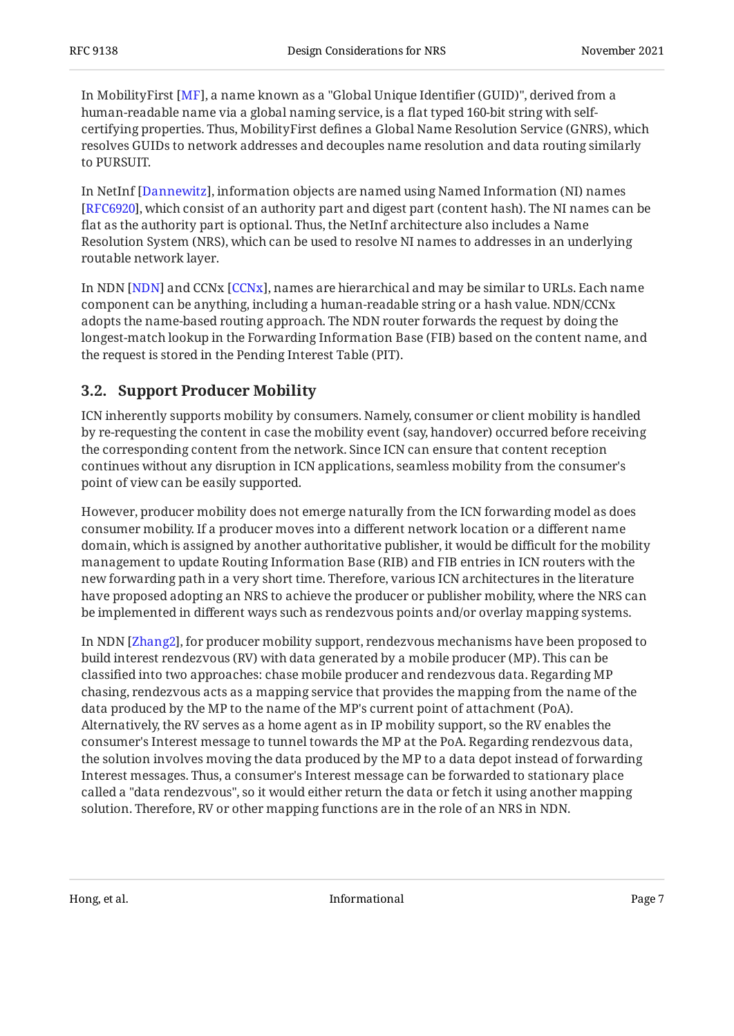In MobilityFirst [MF], a name known as a "Global Unique Identifier (GUID)", derived from a human-readable name via a global naming service, is a flat typed 160-bit string with selfcertifying properties. Thus, MobilityFirst defines a Global Name Resolution Service (GNRS), which resolves GUIDs to network addresses and decouples name resolution and data routing similarly to PURSUIT.

In NetInf [Dannewitz], information objects are named using Named Information (NI) names [[RFC6920\]](#page-15-8), which consist of an authority part and digest part (content hash). The NI names can be flat as the authority part is optional. Thus, the NetInf architecture also includes a Name Resolution System (NRS), which can be used to resolve NI names to addresses in an underlying routable network layer.

In NDN [NDN] and CCNx [CCNx], names are hierarchical and may be similar to URLs. Each name component can be anything, including a human-readable string or a hash value. NDN/CCNx adopts the name-based routing approach. The NDN router forwards the request by doing the longest-match lookup in the Forwarding Information Base (FIB) based on the content name, and the request is stored in the Pending Interest Table (PIT).

## <span id="page-6-0"></span>**[3.2. Support Producer Mobility](#page-6-0)**

ICN inherently supports mobility by consumers. Namely, consumer or client mobility is handled by re-requesting the content in case the mobility event (say, handover) occurred before receiving the corresponding content from the network. Since ICN can ensure that content reception continues without any disruption in ICN applications, seamless mobility from the consumer's point of view can be easily supported.

However, producer mobility does not emerge naturally from the ICN forwarding model as does consumer mobility. If a producer moves into a different network location or a different name domain, which is assigned by another authoritative publisher, it would be difficult for the mobility management to update Routing Information Base (RIB) and FIB entries in ICN routers with the new forwarding path in a very short time. Therefore, various ICN architectures in the literature have proposed adopting an NRS to achieve the producer or publisher mobility, where the NRS can be implemented in different ways such as rendezvous points and/or overlay mapping systems.

In NDN [Zhang2], for producer mobility support, rendezvous mechanisms have been proposed to build interest rendezvous (RV) with data generated by a mobile producer (MP). This can be classified into two approaches: chase mobile producer and rendezvous data. Regarding MP chasing, rendezvous acts as a mapping service that provides the mapping from the name of the data produced by the MP to the name of the MP's current point of attachment (PoA). Alternatively, the RV serves as a home agent as in IP mobility support, so the RV enables the consumer's Interest message to tunnel towards the MP at the PoA. Regarding rendezvous data, the solution involves moving the data produced by the MP to a data depot instead of forwarding Interest messages. Thus, a consumer's Interest message can be forwarded to stationary place called a "data rendezvous", so it would either return the data or fetch it using another mapping solution. Therefore, RV or other mapping functions are in the role of an NRS in NDN.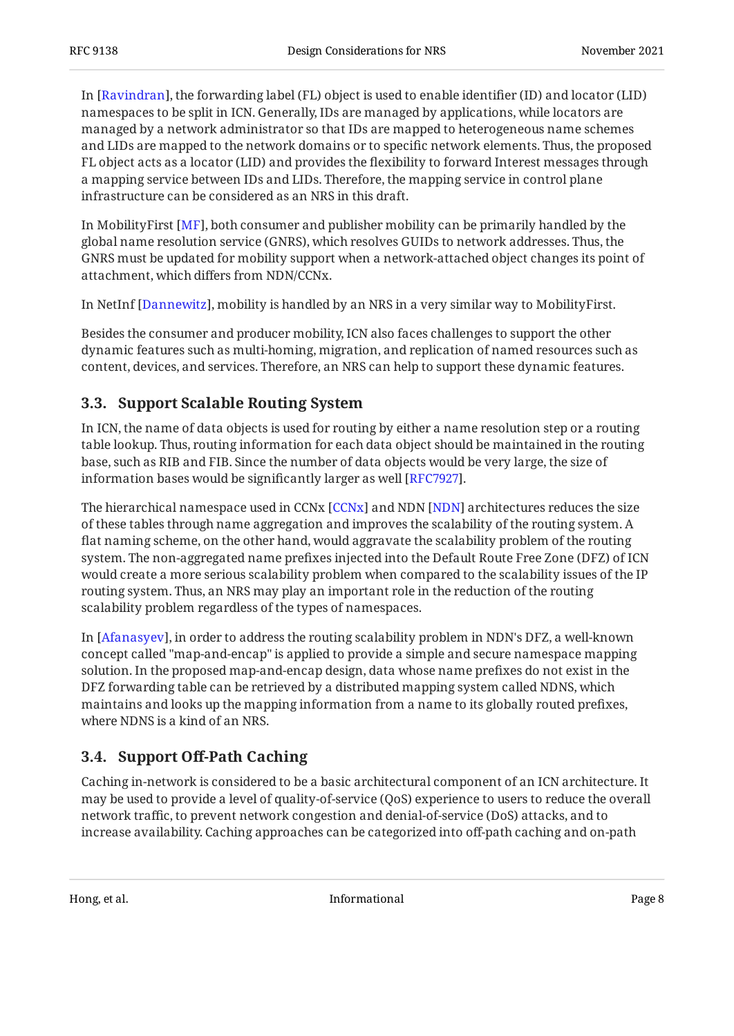In [\[Ravindran](#page-15-10)], the forwarding label (FL) object is used to enable identifier (ID) and locator (LID) namespaces to be split in ICN. Generally, IDs are managed by applications, while locators are managed by a network administrator so that IDs are mapped to heterogeneous name schemes and LIDs are mapped to the network domains or to specific network elements. Thus, the proposed FL object acts as a locator (LID) and provides the flexibility to forward Interest messages through a mapping service between IDs and LIDs. Therefore, the mapping service in control plane infrastructure can be considered as an NRS in this draft.

In MobilityFirst [MF], both consumer and publisher mobility can be primarily handled by the global name resolution service (GNRS), which resolves GUIDs to network addresses. Thus, the GNRS must be updated for mobility support when a network-attached object changes its point of attachment, which differs from NDN/CCNx.

In NetInf [Dannewitz], mobility is handled by an NRS in a very similar way to MobilityFirst.

Besides the consumer and producer mobility, ICN also faces challenges to support the other dynamic features such as multi-homing, migration, and replication of named resources such as content, devices, and services. Therefore, an NRS can help to support these dynamic features.

### <span id="page-7-0"></span>**[3.3. Support Scalable Routing System](#page-7-0)**

In ICN, the name of data objects is used for routing by either a name resolution step or a routing table lookup. Thus, routing information for each data object should be maintained in the routing base, such as RIB and FIB. Since the number of data objects would be very large, the size of information bases would be significantly larger as well [RFC7927].  $\,$ 

The hierarchical namespace used in CCNx [CCNx] and NDN [NDN] architectures reduces the size of these tables through name aggregation and improves the scalability of the routing system. A flat naming scheme, on the other hand, would aggravate the scalability problem of the routing system. The non-aggregated name prefixes injected into the Default Route Free Zone (DFZ) of ICN would create a more serious scalability problem when compared to the scalability issues of the IP routing system. Thus, an NRS may play an important role in the reduction of the routing scalability problem regardless of the types of namespaces.

In [\[Afanasyev](#page-13-10)], in order to address the routing scalability problem in NDN's DFZ, a well-known concept called "map-and-encap" is applied to provide a simple and secure namespace mapping solution. In the proposed map-and-encap design, data whose name prefixes do not exist in the DFZ forwarding table can be retrieved by a distributed mapping system called NDNS, which maintains and looks up the mapping information from a name to its globally routed prefixes, where NDNS is a kind of an NRS.

#### <span id="page-7-1"></span>**[3.4. S](#page-7-1)upport Off[-Path Caching](#page-7-1)**

Caching in-network is considered to be a basic architectural component of an ICN architecture. It may be used to provide a level of quality-of-service (QoS) experience to users to reduce the overall network traffic, to prevent network congestion and denial-of-service (DoS) attacks, and to increase availability. Caching approaches can be categorized into off-path caching and on-path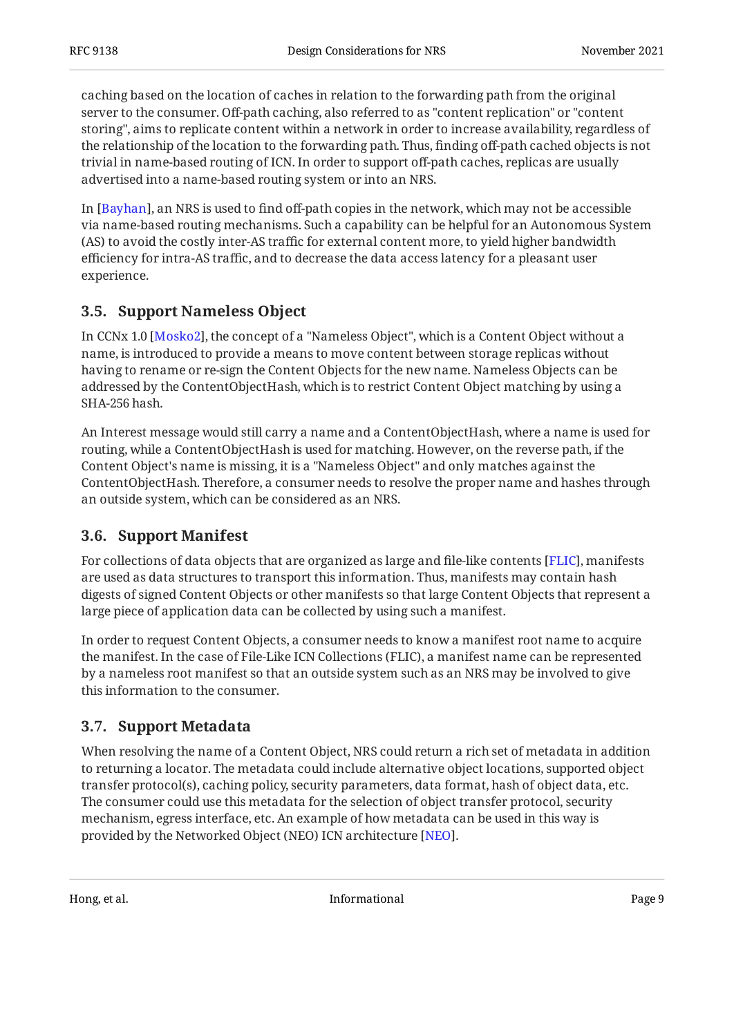caching based on the location of caches in relation to the forwarding path from the original server to the consumer. Off-path caching, also referred to as "content replication" or "content storing", aims to replicate content within a network in order to increase availability, regardless of the relationship of the location to the forwarding path. Thus, finding off-path cached objects is not trivial in name-based routing of ICN. In order to support off-path caches, replicas are usually advertised into a name-based routing system or into an NRS.

In [Bayhan], an NRS is used to find off-path copies in the network, which may not be accessible via name-based routing mechanisms. Such a capability can be helpful for an Autonomous System (AS) to avoid the costly inter-AS traffic for external content more, to yield higher bandwidth efficiency for intra-AS traffic, and to decrease the data access latency for a pleasant user experience.

### <span id="page-8-0"></span>**[3.5. Support Nameless Object](#page-8-0)**

In CCNx 1.0 [Mosko2], the concept of a "Nameless Object", which is a Content Object without a name, is introduced to provide a means to move content between storage replicas without having to rename or re-sign the Content Objects for the new name. Nameless Objects can be addressed by the ContentObjectHash, which is to restrict Content Object matching by using a SHA-256 hash.

An Interest message would still carry a name and a ContentObjectHash, where a name is used for routing, while a ContentObjectHash is used for matching. However, on the reverse path, if the Content Object's name is missing, it is a "Nameless Object" and only matches against the ContentObjectHash. Therefore, a consumer needs to resolve the proper name and hashes through an outside system, which can be considered as an NRS.

### <span id="page-8-1"></span>**[3.6. Support Manifest](#page-8-1)**

For collections of data objects that are organized as large and file-like contents [\[FLIC](#page-14-10)], manifests are used as data structures to transport this information. Thus, manifests may contain hash digests of signed Content Objects or other manifests so that large Content Objects that represent a large piece of application data can be collected by using such a manifest.

In order to request Content Objects, a consumer needs to know a manifest root name to acquire the manifest. In the case of File-Like ICN Collections (FLIC), a manifest name can be represented by a nameless root manifest so that an outside system such as an NRS may be involved to give this information to the consumer.

### <span id="page-8-2"></span>**[3.7. Support Metadata](#page-8-2)**

When resolving the name of a Content Object, NRS could return a rich set of metadata in addition to returning a locator. The metadata could include alternative object locations, supported object transfer protocol(s), caching policy, security parameters, data format, hash of object data, etc. The consumer could use this metadata for the selection of object transfer protocol, security mechanism, egress interface, etc. An example of how metadata can be used in this way is provided by the Networked Object (NEO) ICN architecture [<mark>NEO]</mark>.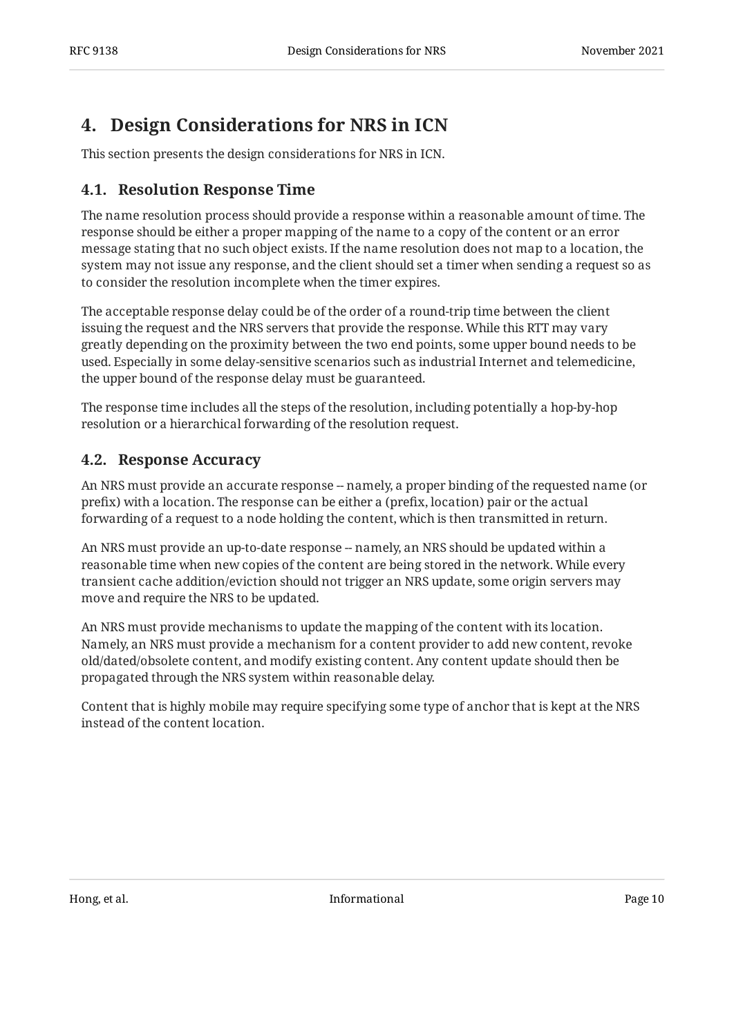# <span id="page-9-0"></span>**[4. Design Considerations for NRS in ICN](#page-9-0)**

<span id="page-9-1"></span>This section presents the design considerations for NRS in ICN.

#### **[4.1. Resolution Response Time](#page-9-1)**

The name resolution process should provide a response within a reasonable amount of time. The response should be either a proper mapping of the name to a copy of the content or an error message stating that no such object exists. If the name resolution does not map to a location, the system may not issue any response, and the client should set a timer when sending a request so as to consider the resolution incomplete when the timer expires.

The acceptable response delay could be of the order of a round-trip time between the client issuing the request and the NRS servers that provide the response. While this RTT may vary greatly depending on the proximity between the two end points, some upper bound needs to be used. Especially in some delay-sensitive scenarios such as industrial Internet and telemedicine, the upper bound of the response delay must be guaranteed.

The response time includes all the steps of the resolution, including potentially a hop-by-hop resolution or a hierarchical forwarding of the resolution request.

#### <span id="page-9-2"></span>**[4.2. Response Accuracy](#page-9-2)**

An NRS must provide an accurate response -- namely, a proper binding of the requested name (or prefix) with a location. The response can be either a (prefix, location) pair or the actual forwarding of a request to a node holding the content, which is then transmitted in return.

An NRS must provide an up-to-date response -- namely, an NRS should be updated within a reasonable time when new copies of the content are being stored in the network. While every transient cache addition/eviction should not trigger an NRS update, some origin servers may move and require the NRS to be updated.

An NRS must provide mechanisms to update the mapping of the content with its location. Namely, an NRS must provide a mechanism for a content provider to add new content, revoke old/dated/obsolete content, and modify existing content. Any content update should then be propagated through the NRS system within reasonable delay.

Content that is highly mobile may require specifying some type of anchor that is kept at the NRS instead of the content location.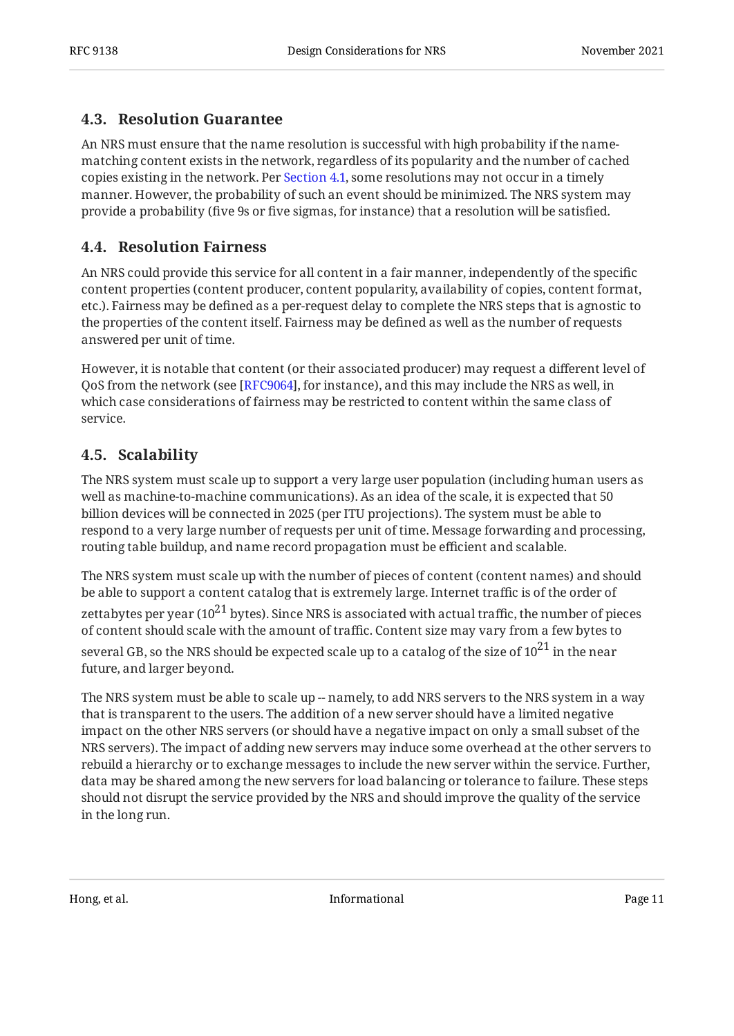### <span id="page-10-0"></span>**[4.3. Resolution Guarantee](#page-10-0)**

An NRS must ensure that the name resolution is successful with high probability if the namematching content exists in the network, regardless of its popularity and the number of cached copies existing in the network. Per [Section 4.1](#page-9-1), some resolutions may not occur in a timely manner. However, the probability of such an event should be minimized. The NRS system may provide a probability (five 9s or five sigmas, for instance) that a resolution will be satisfied.

### <span id="page-10-1"></span>**[4.4. Resolution Fairness](#page-10-1)**

An NRS could provide this service for all content in a fair manner, independently of the specific content properties (content producer, content popularity, availability of copies, content format, etc.). Fairness may be defined as a per-request delay to complete the NRS steps that is agnostic to the properties of the content itself. Fairness may be defined as well as the number of requests answered per unit of time.

However, it is notable that content (or their associated producer) may request a different level of QoS from the network (see [[RFC9064\]](#page-15-11), for instance), and this may include the NRS as well, in which case considerations of fairness may be restricted to content within the same class of service.

## <span id="page-10-2"></span>**[4.5. Scalability](#page-10-2)**

The NRS system must scale up to support a very large user population (including human users as well as machine-to-machine communications). As an idea of the scale, it is expected that 50 billion devices will be connected in 2025 (per ITU projections). The system must be able to respond to a very large number of requests per unit of time. Message forwarding and processing, routing table buildup, and name record propagation must be efficient and scalable.

The NRS system must scale up with the number of pieces of content (content names) and should be able to support a content catalog that is extremely large. Internet traffic is of the order of zettabytes per year ( $10^{21}$  bytes). Since NRS is associated with actual traffic, the number of pieces of content should scale with the amount of traffic. Content size may vary from a few bytes to several GB, so the NRS should be expected scale up to a catalog of the size of  $10^{21}$  in the near future, and larger beyond.

The NRS system must be able to scale up -- namely, to add NRS servers to the NRS system in a way that is transparent to the users. The addition of a new server should have a limited negative impact on the other NRS servers (or should have a negative impact on only a small subset of the NRS servers). The impact of adding new servers may induce some overhead at the other servers to rebuild a hierarchy or to exchange messages to include the new server within the service. Further, data may be shared among the new servers for load balancing or tolerance to failure. These steps should not disrupt the service provided by the NRS and should improve the quality of the service in the long run.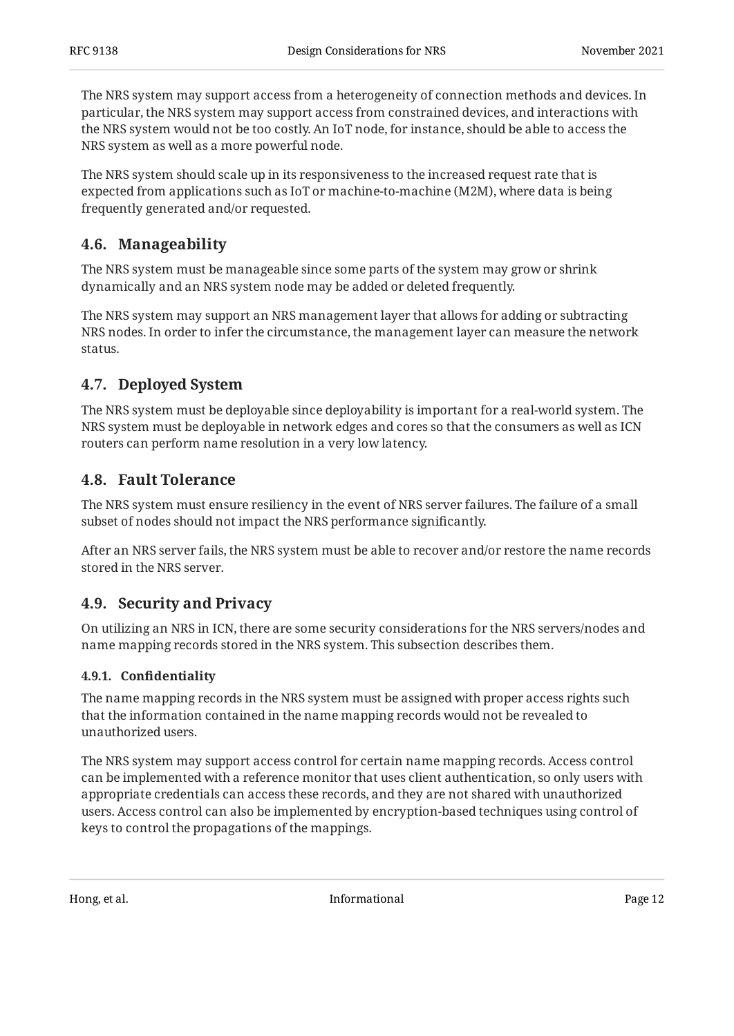The NRS system may support access from a heterogeneity of connection methods and devices. In particular, the NRS system may support access from constrained devices, and interactions with the NRS system would not be too costly. An IoT node, for instance, should be able to access the NRS system as well as a more powerful node.

The NRS system should scale up in its responsiveness to the increased request rate that is expected from applications such as IoT or machine-to-machine (M2M), where data is being frequently generated and/or requested.

### <span id="page-11-0"></span>**[4.6. Manageability](#page-11-0)**

The NRS system must be manageable since some parts of the system may grow or shrink dynamically and an NRS system node may be added or deleted frequently.

The NRS system may support an NRS management layer that allows for adding or subtracting NRS nodes. In order to infer the circumstance, the management layer can measure the network status.

### <span id="page-11-1"></span>**[4.7. Deployed System](#page-11-1)**

The NRS system must be deployable since deployability is important for a real-world system. The NRS system must be deployable in network edges and cores so that the consumers as well as ICN routers can perform name resolution in a very low latency.

#### <span id="page-11-2"></span>**[4.8. Fault Tolerance](#page-11-2)**

The NRS system must ensure resiliency in the event of NRS server failures. The failure of a small subset of nodes should not impact the NRS performance significantly.

After an NRS server fails, the NRS system must be able to recover and/or restore the name records stored in the NRS server.

### <span id="page-11-3"></span>**[4.9. Security and Privacy](#page-11-3)**

On utilizing an NRS in ICN, there are some security considerations for the NRS servers/nodes and name mapping records stored in the NRS system. This subsection describes them.

#### <span id="page-11-4"></span>**[4.9.1. C](#page-11-4)onfi[dentiality](#page-11-4)**

The name mapping records in the NRS system must be assigned with proper access rights such that the information contained in the name mapping records would not be revealed to unauthorized users.

The NRS system may support access control for certain name mapping records. Access control can be implemented with a reference monitor that uses client authentication, so only users with appropriate credentials can access these records, and they are not shared with unauthorized users. Access control can also be implemented by encryption-based techniques using control of keys to control the propagations of the mappings.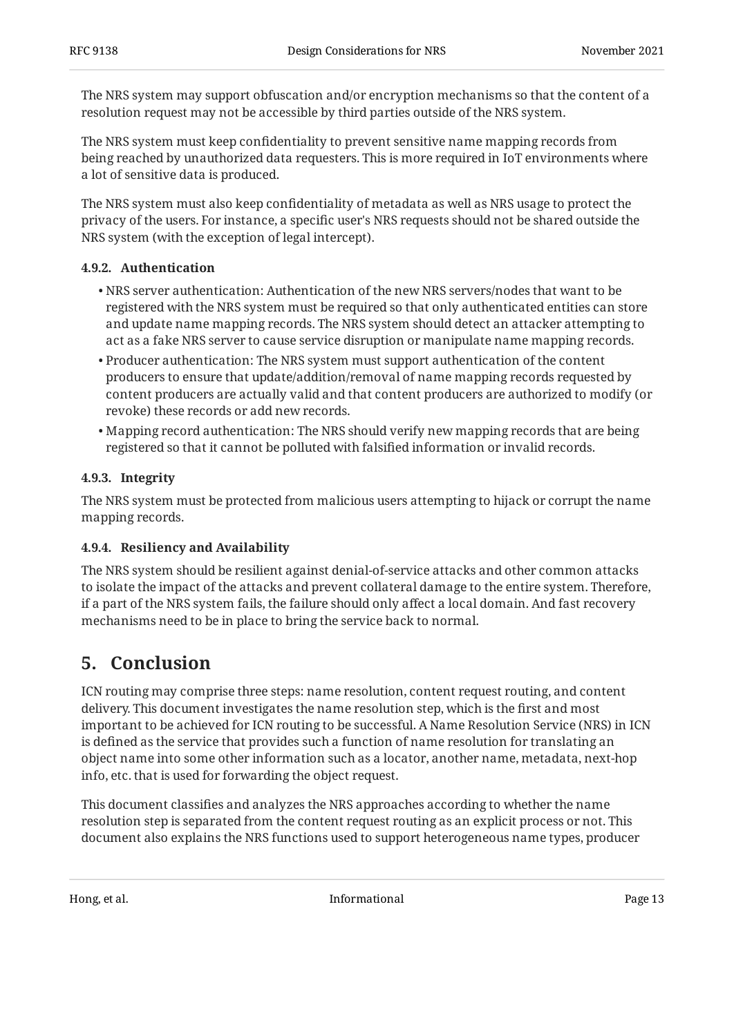The NRS system may support obfuscation and/or encryption mechanisms so that the content of a resolution request may not be accessible by third parties outside of the NRS system.

The NRS system must keep confidentiality to prevent sensitive name mapping records from being reached by unauthorized data requesters. This is more required in IoT environments where a lot of sensitive data is produced.

The NRS system must also keep confidentiality of metadata as well as NRS usage to protect the privacy of the users. For instance, a specific user's NRS requests should not be shared outside the NRS system (with the exception of legal intercept).

#### <span id="page-12-0"></span>**[4.9.2. Authentication](#page-12-0)**

- NRS server authentication: Authentication of the new NRS servers/nodes that want to be registered with the NRS system must be required so that only authenticated entities can store and update name mapping records. The NRS system should detect an attacker attempting to act as a fake NRS server to cause service disruption or manipulate name mapping records.
- $\bullet$  Producer authentication: The NRS system must support authentication of the content producers to ensure that update/addition/removal of name mapping records requested by content producers are actually valid and that content producers are authorized to modify (or revoke) these records or add new records.
- Mapping record authentication: The NRS should verify new mapping records that are being registered so that it cannot be polluted with falsified information or invalid records.

#### <span id="page-12-1"></span>**[4.9.3. Integrity](#page-12-1)**

The NRS system must be protected from malicious users attempting to hijack or corrupt the name mapping records.

#### <span id="page-12-2"></span>**[4.9.4. Resiliency and Availability](#page-12-2)**

The NRS system should be resilient against denial-of-service attacks and other common attacks to isolate the impact of the attacks and prevent collateral damage to the entire system. Therefore, if a part of the NRS system fails, the failure should only affect a local domain. And fast recovery mechanisms need to be in place to bring the service back to normal.

## <span id="page-12-3"></span>**[5. Conclusion](#page-12-3)**

ICN routing may comprise three steps: name resolution, content request routing, and content delivery. This document investigates the name resolution step, which is the first and most important to be achieved for ICN routing to be successful. A Name Resolution Service (NRS) in ICN is defined as the service that provides such a function of name resolution for translating an object name into some other information such as a locator, another name, metadata, next-hop info, etc. that is used for forwarding the object request.

This document classifies and analyzes the NRS approaches according to whether the name resolution step is separated from the content request routing as an explicit process or not. This document also explains the NRS functions used to support heterogeneous name types, producer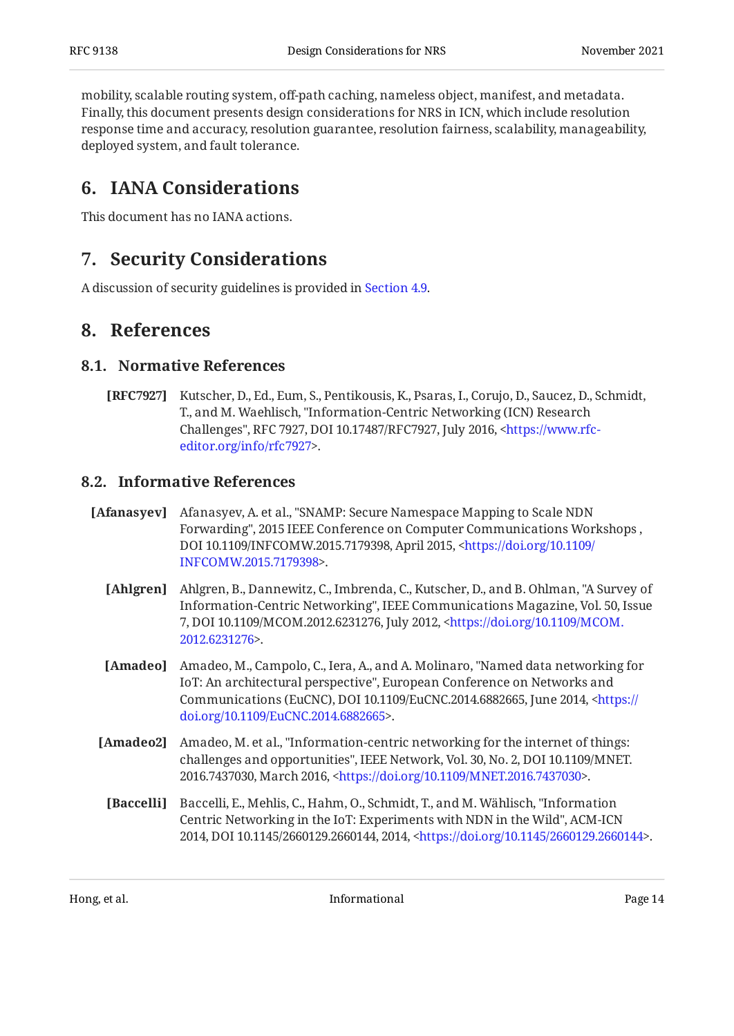mobility, scalable routing system, off-path caching, nameless object, manifest, and metadata. Finally, this document presents design considerations for NRS in ICN, which include resolution response time and accuracy, resolution guarantee, resolution fairness, scalability, manageability, deployed system, and fault tolerance.

## <span id="page-13-0"></span>**[6. IANA Considerations](#page-13-0)**

<span id="page-13-1"></span>This document has no IANA actions.

## **[7. Security Considerations](#page-13-1)**

<span id="page-13-2"></span>A discussion of security guidelines is provided in [Section 4.9](#page-11-3).

## <span id="page-13-3"></span>**[8. References](#page-13-2)**

#### **[8.1. Normative References](#page-13-3)**

<span id="page-13-9"></span>**[RFC7927]** Kutscher, D., Ed., Eum, S., Pentikousis, K., Psaras, I., Corujo, D., Saucez, D., Schmidt, T., and M. Waehlisch, "Information-Centric Networking (ICN) Research Challenges", RFC 7927, DOI 10.17487/RFC7927, July 2016, <[https://www.rfc-](https://www.rfc-editor.org/info/rfc7927). [editor.org/info/rfc7927](https://www.rfc-editor.org/info/rfc7927)>

### <span id="page-13-4"></span>**[8.2. Informative References](#page-13-4)**

- <span id="page-13-10"></span><span id="page-13-7"></span><span id="page-13-5"></span>[Afanasyev] Afanasyev, A. et al., "SNAMP: Secure Namespace Mapping to Scale NDN Forwarding", 2015 IEEE Conference on Computer Communications Workshops , DOI 10.1109/INFCOMW.2015.7179398, April 2015, [<https://doi.org/10.1109/](https://doi.org/10.1109/INFCOMW.2015.7179398) . [INFCOMW.2015.7179398](https://doi.org/10.1109/INFCOMW.2015.7179398)>
	- **[Ahlgren]** Ahlgren, B., Dannewitz, C., Imbrenda, C., Kutscher, D., and B. Ohlman, "A Survey of Information-Centric Networking", IEEE Communications Magazine, Vol. 50, Issue 7, DOI 10.1109/MCOM.2012.6231276, July 2012, [<https://doi.org/10.1109/MCOM.](https://doi.org/10.1109/MCOM.2012.6231276) . [2012.6231276>](https://doi.org/10.1109/MCOM.2012.6231276)
	- **[Amadeo]** Amadeo, M., Campolo, C., Iera, A., and A. Molinaro, "Named data networking for IoT: An architectural perspective", European Conference on Networks and Communications (EuCNC), DOI 10.1109/EuCNC.2014.6882665, June 2014, [<https://](https://doi.org/10.1109/EuCNC.2014.6882665) . [doi.org/10.1109/EuCNC.2014.6882665](https://doi.org/10.1109/EuCNC.2014.6882665)>
	- [**Amadeo2**] Amadeo, M. et al., "Information-centric networking for the internet of things: challenges and opportunities", IEEE Network, Vol. 30, No. 2, DOI 10.1109/MNET. 2016.7437030, March 2016, <https://doi.org/10.1109/MNET.2016.7437030>.
	- **[Baccelli]** Baccelli, E., Mehlis, C., Hahm, O., Schmidt, T., and M. Wählisch, "Information Centric Networking in the IoT: Experiments with NDN in the Wild", ACM-ICN 2014, DOI 10.1145/2660129.2660144, 2014, <https://doi.org/10.1145/2660129.2660144>.

<span id="page-13-8"></span><span id="page-13-6"></span>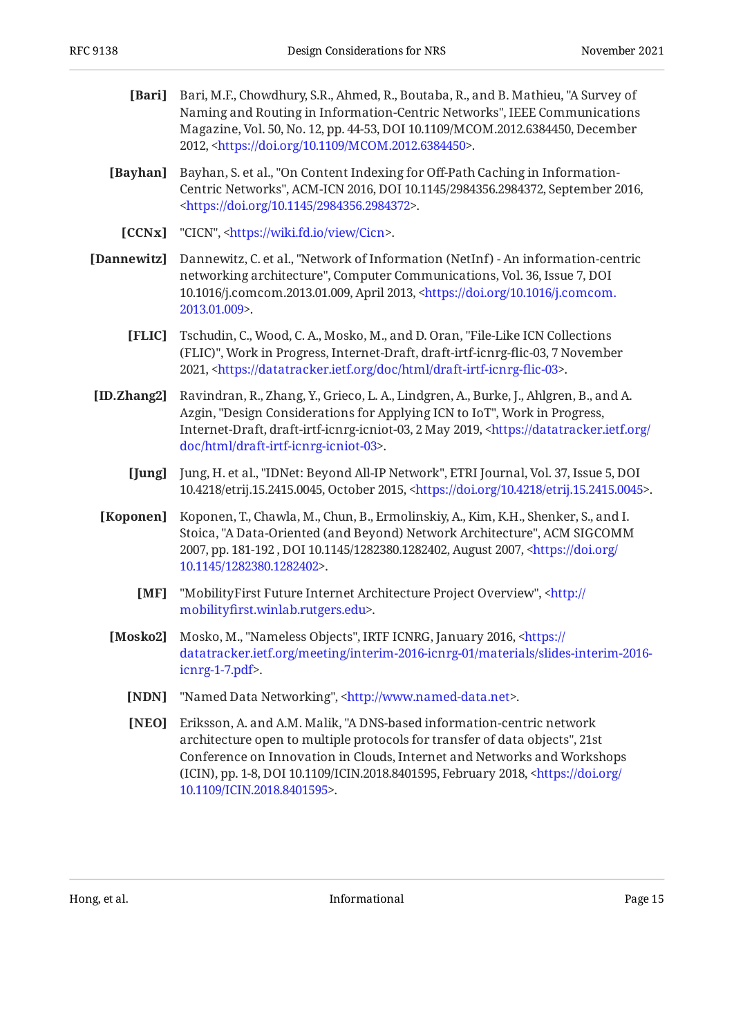- <span id="page-14-6"></span>**[Bari]** Bari, M.F., Chowdhury, S.R., Ahmed, R., Boutaba, R., and B. Mathieu, "A Survey of , Naming and Routing in Information-Centric Networks" IEEE Communications Magazine, Vol. 50, No. 12, pp. 44-53, DOI 10.1109/MCOM.2012.6384450, December 2012, <[https://doi.org/10.1109/MCOM.2012.6384450>](https://doi.org/10.1109/MCOM.2012.6384450).
- <span id="page-14-8"></span>**[Bayhan]** Bayhan, S. et al., "On Content Indexing for Off-Path Caching in Information-Centric Networks", ACM-ICN 2016, DOI 10.1145/2984356.2984372, September 2016, . [<https://doi.org/10.1145/2984356.2984372](https://doi.org/10.1145/2984356.2984372)>
	- **[CCNx]** "CICN", <https://wiki.fd.io/view/Cicn>.
- <span id="page-14-7"></span><span id="page-14-5"></span>**[Dannewitz]** , Dannewitz, C. et al. "Network of Information (NetInf) - An information-centric networking architecture", Computer Communications, Vol. 36, Issue 7, DOI 10.1016/j.comcom.2013.01.009, April 2013, <[https://doi.org/10.1016/j.comcom.](https://doi.org/10.1016/j.comcom.2013.01.009) . [2013.01.009>](https://doi.org/10.1016/j.comcom.2013.01.009)
	- **[FLIC]** Tschudin, C., Wood, C. A., Mosko, M., and D. Oran, "File-Like ICN Collections (FLIC)", Work in Progress, Internet-Draft, draft-irtf-icnrg-flic-03, 7 November 2021, <https://datatracker.ietf.org/doc/html/draft-irtf-icnrg-flic-03>.
- <span id="page-14-10"></span><span id="page-14-0"></span>**[ID.Zhang2]** Ravindran, R., Zhang, Y., Grieco, L. A., Lindgren, A., Burke, J., Ahlgren, B., and A. Azgin, "Design Considerations for Applying ICN to IoT", Work in Progress, Internet-Draft, draft-irtf-icnrg-icniot-03, 2 May 2019, [<https://datatracker.ietf.org/](https://datatracker.ietf.org/doc/html/draft-irtf-icnrg-icniot-03) . [doc/html/draft-irtf-icnrg-icniot-03>](https://datatracker.ietf.org/doc/html/draft-irtf-icnrg-icniot-03)
	- **[Jung]** Jung, H. et al., "IDNet: Beyond All-IP Network", ETRI Journal, Vol. 37, Issue 5, DOI 10.4218/etrij.15.2415.0045, October 2015, <https://doi.org/10.4218/etrij.15.2415.0045>.
- <span id="page-14-9"></span><span id="page-14-4"></span><span id="page-14-3"></span><span id="page-14-2"></span><span id="page-14-1"></span>**[Koponen]** Koponen, T., Chawla, M., Chun, B., Ermolinskiy, A., Kim, K.H., Shenker, S., and I. Stoica, "A Data-Oriented (and Beyond) Network Architecture", ACM SIGCOMM 2007, pp. 181-192 , DOI 10.1145/1282380.1282402, August 2007, [<https://doi.org/](https://doi.org/10.1145/1282380.1282402) . [10.1145/1282380.1282402](https://doi.org/10.1145/1282380.1282402)>
	- **[MF]** "MobilityFirst Future Internet Architecture Project Overview", <[http://](http://mobilityfirst.winlab.rutgers.edu) . mobilityfi[rst.winlab.rutgers.edu>](http://mobilityfirst.winlab.rutgers.edu)
	- **[Mosko2]** Mosko, M., "Nameless Objects", IRTF ICNRG, January 2016, <[https://](https://datatracker.ietf.org/meeting/interim-2016-icnrg-01/materials/slides-interim-2016-icnrg-1-7.pdf) . [icnrg-1-7.pdf](https://datatracker.ietf.org/meeting/interim-2016-icnrg-01/materials/slides-interim-2016-icnrg-1-7.pdf)> [datatracker.ietf.org/meeting/interim-2016-icnrg-01/materials/slides-interim-2016-](https://datatracker.ietf.org/meeting/interim-2016-icnrg-01/materials/slides-interim-2016-icnrg-1-7.pdf)
		- **[NDN]** "Named Data Networking", <http://www.named-data.net>.
		- **[NEO]** Eriksson, A. and A.M. Malik, "A DNS-based information-centric network architecture open to multiple protocols for transfer of data objects", 21st (ICIN), pp. 1-8, DOI 10.1109/ICIN.2018.8401595, February 2018, [<https://doi.org/](https://doi.org/10.1109/ICIN.2018.8401595) . [10.1109/ICIN.2018.8401595>](https://doi.org/10.1109/ICIN.2018.8401595) Conference on Innovation in Clouds, Internet and Networks and Workshops

<span id="page-14-11"></span>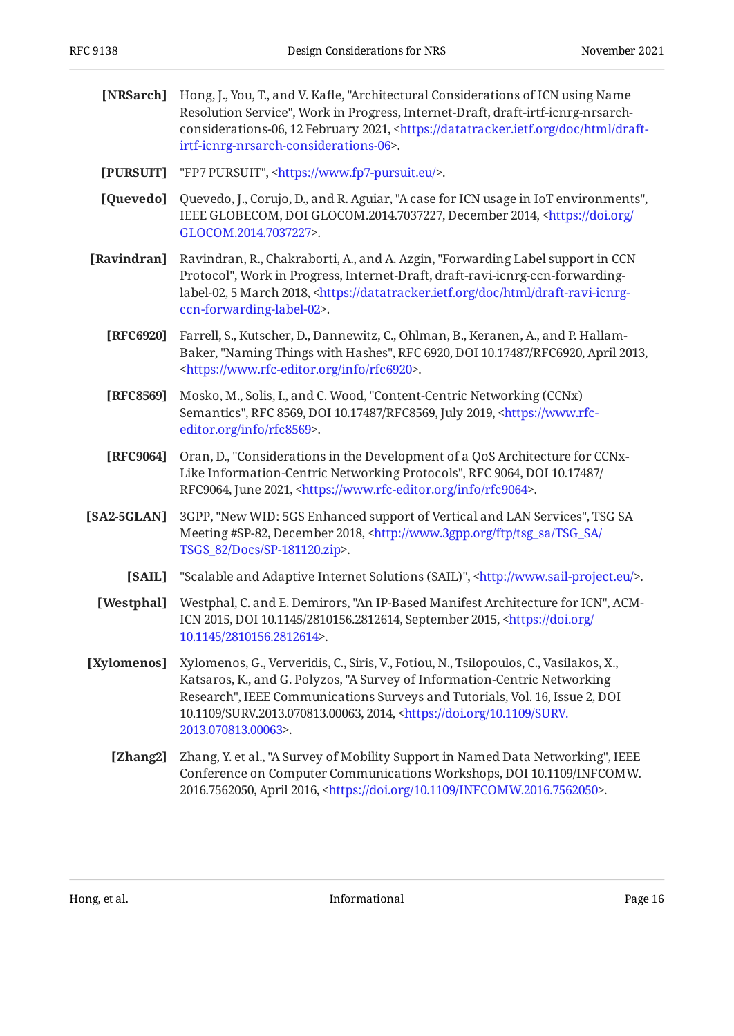<span id="page-15-11"></span><span id="page-15-10"></span><span id="page-15-8"></span><span id="page-15-7"></span><span id="page-15-3"></span><span id="page-15-2"></span><span id="page-15-1"></span>

| [NRSarch]     | Hong, J., You, T., and V. Kafle, "Architectural Considerations of ICN using Name<br>Resolution Service", Work in Progress, Internet-Draft, draft-irtf-icnrg-nrsarch-<br>considerations-06, 12 February 2021, <https: datatracker.ietf.org="" doc="" draft-<br="" html="">irtf-icnrg-nrsarch-considerations-06&gt;.</https:>                                          |  |  |  |
|---------------|----------------------------------------------------------------------------------------------------------------------------------------------------------------------------------------------------------------------------------------------------------------------------------------------------------------------------------------------------------------------|--|--|--|
| [PURSUIT]     | "FP7 PURSUIT", <https: www.fp7-pursuit.eu=""></https:> .                                                                                                                                                                                                                                                                                                             |  |  |  |
| [Quevedo]     | Quevedo, J., Corujo, D., and R. Aguiar, "A case for ICN usage in IoT environments",<br>IEEE GLOBECOM, DOI GLOCOM.2014.7037227, December 2014, <https: <br="" doi.org="">GLOCOM.2014.7037227&gt;.</https:>                                                                                                                                                            |  |  |  |
| [Ravindran]   | Ravindran, R., Chakraborti, A., and A. Azgin, "Forwarding Label support in CCN<br>Protocol", Work in Progress, Internet-Draft, draft-ravi-icnrg-ccn-forwarding-<br>label-02, 5 March 2018, <https: datatracker.ietf.org="" doc="" draft-ravi-icnrg-<br="" html="">ccn-forwarding-label-02&gt;.</https:>                                                              |  |  |  |
| [RFC6920]     | Farrell, S., Kutscher, D., Dannewitz, C., Ohlman, B., Keranen, A., and P. Hallam-<br>Baker, "Naming Things with Hashes", RFC 6920, DOI 10.17487/RFC6920, April 2013,<br><https: info="" rfc6920="" www.rfc-editor.org="">.</https:>                                                                                                                                  |  |  |  |
| [RFC8569]     | Mosko, M., Solis, I., and C. Wood, "Content-Centric Networking (CCNx)<br>Semantics", RFC 8569, DOI 10.17487/RFC8569, July 2019, <https: www.rfc-<br="">editor.org/info/rfc8569&gt;.</https:>                                                                                                                                                                         |  |  |  |
| [RFC9064]     | Oran, D., "Considerations in the Development of a QoS Architecture for CCNx-<br>Like Information-Centric Networking Protocols", RFC 9064, DOI 10.17487/<br>RFC9064, June 2021, <https: info="" rfc9064="" www.rfc-editor.org="">.</https:>                                                                                                                           |  |  |  |
| $[SA2-5GLAN]$ | 3GPP, "New WID: 5GS Enhanced support of Vertical and LAN Services", TSG SA<br>Meeting #SP-82, December 2018, <http: <br="" ftp="" tsg_sa="" www.3gpp.org="">TSGS_82/Docs/SP-181120.zip&gt;.</http:>                                                                                                                                                                  |  |  |  |
| [SAIL]        | "Scalable and Adaptive Internet Solutions (SAIL)", <http: www.sail-project.eu=""></http:> .                                                                                                                                                                                                                                                                          |  |  |  |
| [Westphal]    | Westphal, C. and E. Demirors, "An IP-Based Manifest Architecture for ICN", ACM-<br>ICN 2015, DOI 10.1145/2810156.2812614, September 2015, <https: <br="" doi.org="">10.1145/2810156.2812614&gt;.</https:>                                                                                                                                                            |  |  |  |
| [Xylomenos]   | Xylomenos, G., Ververidis, C., Siris, V., Fotiou, N., Tsilopoulos, C., Vasilakos, X.,<br>Katsaros, K., and G. Polyzos, "A Survey of Information-Centric Networking<br>Research", IEEE Communications Surveys and Tutorials, Vol. 16, Issue 2, DOI<br>10.1109/SURV.2013.070813.00063, 2014, <https: 10.1109="" doi.org="" surv.<br="">2013.070813.00063&gt;.</https:> |  |  |  |
| [Zhang2]      | Zhang, Y. et al., "A Survey of Mobility Support in Named Data Networking", IEEE<br>Conference on Computer Communications Workshops, DOI 10.1109/INFCOMW.<br>2016.7562050, April 2016, <https: 10.1109="" doi.org="" infcomw.2016.7562050="">.</https:>                                                                                                               |  |  |  |
|               |                                                                                                                                                                                                                                                                                                                                                                      |  |  |  |

<span id="page-15-9"></span><span id="page-15-6"></span><span id="page-15-5"></span><span id="page-15-4"></span><span id="page-15-0"></span>